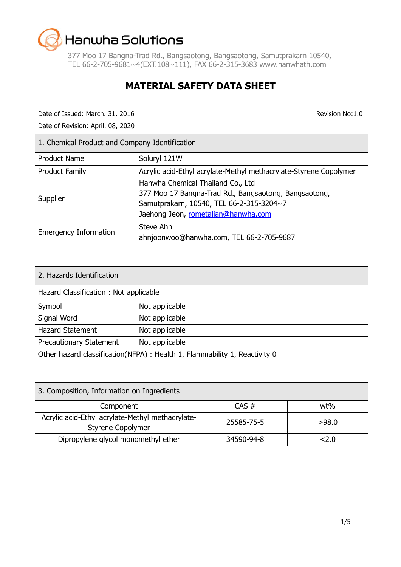377 Moo 17 Bangna-Trad Rd., Bangsaotong, Bangsaotong, Samutprakarn 10540, TEL 66-2-705-9681~4(EXT.108~111), FAX 66-2-315-3683 [www.hanwhath.com](http://www.hanwhath.com/)

### **MATERIAL SAFETY DATA SHEET**

Date of Issued: March. 31, 2016 Revision No:1.0

Date of Revision: April. 08, 2020

| 1. Chemical Product and Company Identification |                                                                                                                                                                               |  |
|------------------------------------------------|-------------------------------------------------------------------------------------------------------------------------------------------------------------------------------|--|
| <b>Product Name</b>                            | Soluryl 121W                                                                                                                                                                  |  |
| <b>Product Family</b>                          | Acrylic acid-Ethyl acrylate-Methyl methacrylate-Styrene Copolymer                                                                                                             |  |
| Supplier                                       | Hanwha Chemical Thailand Co., Ltd<br>377 Moo 17 Bangna-Trad Rd., Bangsaotong, Bangsaotong,<br>Samutprakarn, 10540, TEL 66-2-315-3204~7<br>Jaehong Jeon, rometalian@hanwha.com |  |
| <b>Emergency Information</b>                   | Steve Ahn<br>ahnjoonwoo@hanwha.com, TEL 66-2-705-9687                                                                                                                         |  |

| 2. Hazards Identification                                                  |                |  |
|----------------------------------------------------------------------------|----------------|--|
| Hazard Classification : Not applicable                                     |                |  |
| Symbol                                                                     | Not applicable |  |
| Signal Word                                                                | Not applicable |  |
| <b>Hazard Statement</b><br>Not applicable                                  |                |  |
| Not applicable<br><b>Precautionary Statement</b>                           |                |  |
| Other hazard classification(NFPA) : Health 1, Flammability 1, Reactivity 0 |                |  |

| 3. Composition, Information on Ingredients                                   |            |          |
|------------------------------------------------------------------------------|------------|----------|
| Component                                                                    | $CAS \#$   | wt%      |
| Acrylic acid-Ethyl acrylate-Methyl methacrylate-<br><b>Styrene Copolymer</b> | 25585-75-5 | >98.0    |
| Dipropylene glycol monomethyl ether                                          | 34590-94-8 | ${<}2.0$ |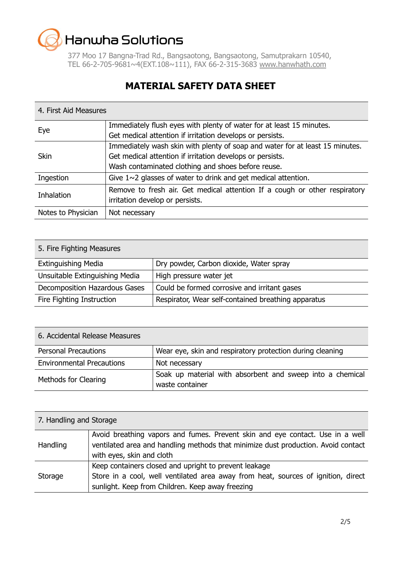377 Moo 17 Bangna-Trad Rd., Bangsaotong, Bangsaotong, Samutprakarn 10540, TEL 66-2-705-9681~4(EXT.108~111), FAX 66-2-315-3683 [www.hanwhath.com](http://www.hanwhath.com/)

### **MATERIAL SAFETY DATA SHEET**

#### 4. First Aid Measures

| Eye                | Immediately flush eyes with plenty of water for at least 15 minutes.         |
|--------------------|------------------------------------------------------------------------------|
|                    | Get medical attention if irritation develops or persists.                    |
|                    | Immediately wash skin with plenty of soap and water for at least 15 minutes. |
| <b>Skin</b>        | Get medical attention if irritation develops or persists.                    |
|                    | Wash contaminated clothing and shoes before reuse.                           |
| Ingestion          | Give $1 \sim 2$ glasses of water to drink and get medical attention.         |
| <b>Inhalation</b>  | Remove to fresh air. Get medical attention If a cough or other respiratory   |
|                    | irritation develop or persists.                                              |
| Notes to Physician | Not necessary                                                                |

| 5. Fire Fighting Measures      |                                                     |  |
|--------------------------------|-----------------------------------------------------|--|
| <b>Extinguishing Media</b>     | Dry powder, Carbon dioxide, Water spray             |  |
| Unsuitable Extinguishing Media | High pressure water jet                             |  |
| Decomposition Hazardous Gases  | Could be formed corrosive and irritant gases        |  |
| Fire Fighting Instruction      | Respirator, Wear self-contained breathing apparatus |  |

| 6. Accidental Release Measures   |                                                                              |
|----------------------------------|------------------------------------------------------------------------------|
| <b>Personal Precautions</b>      | Wear eye, skin and respiratory protection during cleaning                    |
| <b>Environmental Precautions</b> | Not necessary                                                                |
| Methods for Clearing             | Soak up material with absorbent and sweep into a chemical<br>waste container |

| 7. Handling and Storage |                                                                                                                                                                                                 |
|-------------------------|-------------------------------------------------------------------------------------------------------------------------------------------------------------------------------------------------|
| Handling                | Avoid breathing vapors and fumes. Prevent skin and eye contact. Use in a well<br>ventilated area and handling methods that minimize dust production. Avoid contact<br>with eyes, skin and cloth |
| Storage                 | Keep containers closed and upright to prevent leakage<br>Store in a cool, well ventilated area away from heat, sources of ignition, direct<br>sunlight. Keep from Children. Keep away freezing  |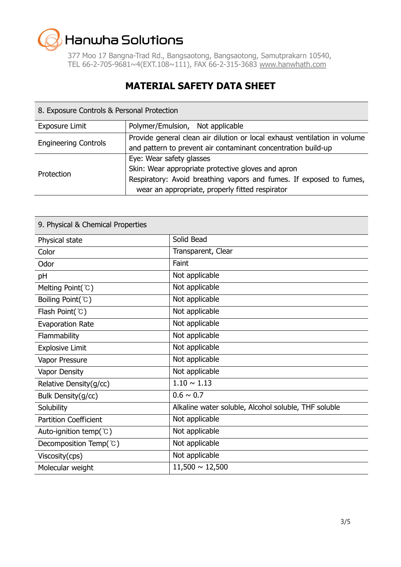377 Moo 17 Bangna-Trad Rd., Bangsaotong, Bangsaotong, Samutprakarn 10540, TEL 66-2-705-9681~4(EXT.108~111), FAX 66-2-315-3683 [www.hanwhath.com](http://www.hanwhath.com/)

### **MATERIAL SAFETY DATA SHEET**

| 8. Exposure Controls & Personal Protection |                                                                                                                                                       |  |
|--------------------------------------------|-------------------------------------------------------------------------------------------------------------------------------------------------------|--|
| <b>Exposure Limit</b>                      | Polymer/Emulsion, Not applicable                                                                                                                      |  |
| <b>Engineering Controls</b>                | Provide general clean air dilution or local exhaust ventilation in volume<br>and pattern to prevent air contaminant concentration build-up            |  |
| Protection                                 | Eye: Wear safety glasses<br>Skin: Wear appropriate protective gloves and apron<br>Respiratory: Avoid breathing vapors and fumes. If exposed to fumes, |  |
|                                            | wear an appropriate, properly fitted respirator                                                                                                       |  |

| 9. Physical & Chemical Properties |                                                      |  |
|-----------------------------------|------------------------------------------------------|--|
| Physical state                    | Solid Bead                                           |  |
| Color                             | Transparent, Clear                                   |  |
| Odor                              | Faint                                                |  |
| pH                                | Not applicable                                       |  |
| Melting Point(°C)                 | Not applicable                                       |  |
| Boiling Point(°C)                 | Not applicable                                       |  |
| Flash Point(°C)                   | Not applicable                                       |  |
| <b>Evaporation Rate</b>           | Not applicable                                       |  |
| Flammability                      | Not applicable                                       |  |
| <b>Explosive Limit</b>            | Not applicable                                       |  |
| Vapor Pressure                    | Not applicable                                       |  |
| <b>Vapor Density</b>              | Not applicable                                       |  |
| Relative Density(g/cc)            | $1.10 \sim 1.13$                                     |  |
| Bulk Density(g/cc)                | $0.6 \sim 0.7$                                       |  |
| Solubility                        | Alkaline water soluble, Alcohol soluble, THF soluble |  |
| <b>Partition Coefficient</b>      | Not applicable                                       |  |
| Auto-ignition temp( $°C$ )        | Not applicable                                       |  |
| Decomposition Temp(°C)            | Not applicable                                       |  |
| Viscosity(cps)                    | Not applicable                                       |  |
| Molecular weight                  | $11,500 \sim 12,500$                                 |  |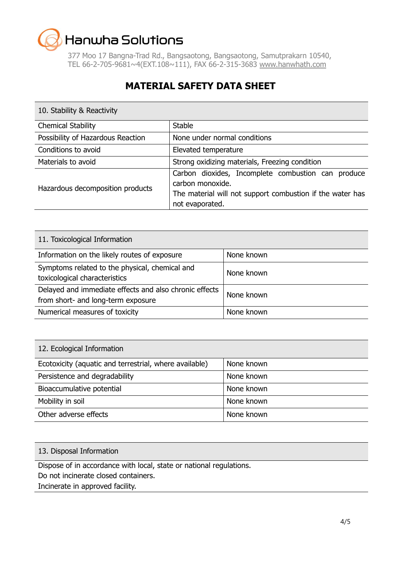377 Moo 17 Bangna-Trad Rd., Bangsaotong, Bangsaotong, Samutprakarn 10540, TEL 66-2-705-9681~4(EXT.108~111), FAX 66-2-315-3683 [www.hanwhath.com](http://www.hanwhath.com/)

## **MATERIAL SAFETY DATA SHEET**

| 10. Stability & Reactivity        |                                                                                                                                                        |
|-----------------------------------|--------------------------------------------------------------------------------------------------------------------------------------------------------|
| <b>Chemical Stability</b>         | <b>Stable</b>                                                                                                                                          |
| Possibility of Hazardous Reaction | None under normal conditions                                                                                                                           |
| Conditions to avoid               | Elevated temperature                                                                                                                                   |
| Materials to avoid                | Strong oxidizing materials, Freezing condition                                                                                                         |
| Hazardous decomposition products  | Carbon dioxides, Incomplete combustion can produce<br>carbon monoxide.<br>The material will not support combustion if the water has<br>not evaporated. |

| 11. Toxicological Information                                                                |            |
|----------------------------------------------------------------------------------------------|------------|
| Information on the likely routes of exposure                                                 | None known |
| Symptoms related to the physical, chemical and<br>toxicological characteristics              | None known |
| Delayed and immediate effects and also chronic effects<br>from short- and long-term exposure | None known |
| Numerical measures of toxicity                                                               | None known |

| 12. Ecological Information                             |            |  |
|--------------------------------------------------------|------------|--|
| Ecotoxicity (aquatic and terrestrial, where available) | None known |  |
| Persistence and degradability                          | None known |  |
| Bioaccumulative potential                              | None known |  |
| Mobility in soil                                       | None known |  |
| Other adverse effects                                  | None known |  |

#### 13. Disposal Information

Dispose of in accordance with local, state or national regulations.

Do not incinerate closed containers.

Incinerate in approved facility.